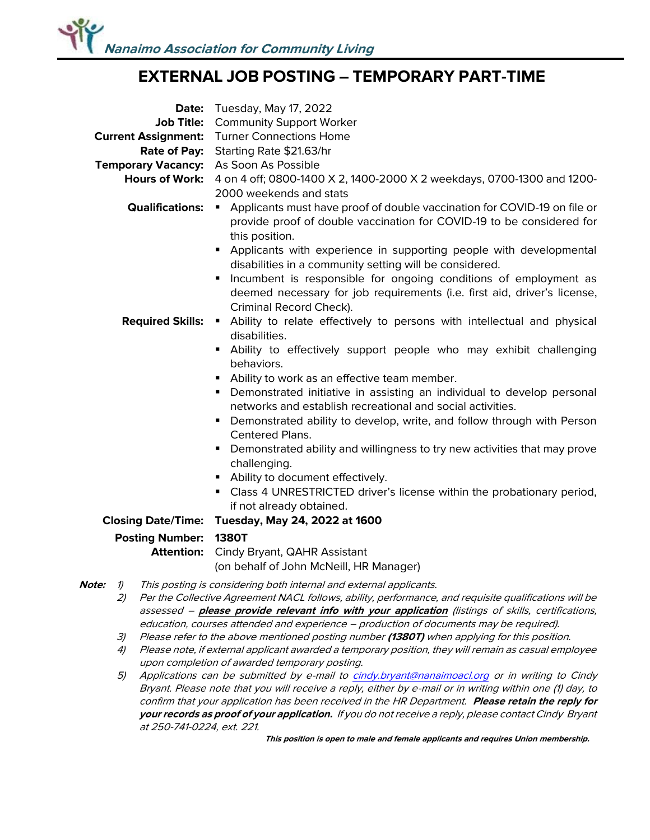## **EXTERNAL JOB POSTING – TEMPORARY PART-TIME**

| <b>Current Assignment:</b><br><b>Rate of Pay:</b><br>Temporary Vacancy: As Soon As Possible<br><b>Hours of Work:</b><br><b>Qualifications:</b>                                                                                                                                                                                                                                                   | <b>Date:</b> Tuesday, May 17, 2022<br>Job Title: Community Support Worker<br><b>Turner Connections Home</b><br>Starting Rate \$21.63/hr<br>4 on 4 off; 0800-1400 X 2, 1400-2000 X 2 weekdays, 0700-1300 and 1200-<br>2000 weekends and stats<br>Applicants must have proof of double vaccination for COVID-19 on file or<br>provide proof of double vaccination for COVID-19 to be considered for<br>this position.                                                                                                                                                                               |
|--------------------------------------------------------------------------------------------------------------------------------------------------------------------------------------------------------------------------------------------------------------------------------------------------------------------------------------------------------------------------------------------------|---------------------------------------------------------------------------------------------------------------------------------------------------------------------------------------------------------------------------------------------------------------------------------------------------------------------------------------------------------------------------------------------------------------------------------------------------------------------------------------------------------------------------------------------------------------------------------------------------|
| <b>Required Skills:</b>                                                                                                                                                                                                                                                                                                                                                                          | Applicants with experience in supporting people with developmental<br>٠<br>disabilities in a community setting will be considered.<br>Incumbent is responsible for ongoing conditions of employment as<br>п<br>deemed necessary for job requirements (i.e. first aid, driver's license,<br>Criminal Record Check).<br>Ability to relate effectively to persons with intellectual and physical<br>$\blacksquare$ .<br>disabilities.<br>Ability to effectively support people who may exhibit challenging<br>٠                                                                                      |
|                                                                                                                                                                                                                                                                                                                                                                                                  | behaviors.<br>Ability to work as an effective team member.<br>٠<br>Demonstrated initiative in assisting an individual to develop personal<br>٠<br>networks and establish recreational and social activities.<br>Demonstrated ability to develop, write, and follow through with Person<br>٠<br><b>Centered Plans.</b><br>Demonstrated ability and willingness to try new activities that may prove<br>٠<br>challenging.<br>Ability to document effectively.<br>Class 4 UNRESTRICTED driver's license within the probationary period,<br>if not already obtained.<br>Tuesday, May 24, 2022 at 1600 |
| <b>Closing Date/Time:</b>                                                                                                                                                                                                                                                                                                                                                                        |                                                                                                                                                                                                                                                                                                                                                                                                                                                                                                                                                                                                   |
| <b>Posting Number:</b><br><b>Attention:</b>                                                                                                                                                                                                                                                                                                                                                      | <b>1380T</b><br>Cindy Bryant, QAHR Assistant<br>(on behalf of John McNeill, HR Manager)                                                                                                                                                                                                                                                                                                                                                                                                                                                                                                           |
| This posting is considering both internal and external applicants.<br>Note:<br>1)<br>Per the Collective Agreement NACL follows, ability, performance, and requisite qualifications will be<br>2)<br>assessed - please provide relevant info with your application (listings of skills, certifications,<br>education, courses attended and experience - production of documents may be required). |                                                                                                                                                                                                                                                                                                                                                                                                                                                                                                                                                                                                   |

- 3) Please refer to the above mentioned posting number **(1380T)** when applying for this position.
- 4) Please note, if external applicant awarded a temporary position, they will remain as casual employee upon completion of awarded temporary posting.

5) Applications can be submitted by e-mail to [cindy.bryant@nanaimoacl.org](mailto:cindy.bryant@nanaimoacl.com) or in writing to Cindy Bryant. Please note that you will receive a reply, either by e-mail or in writing within one (1) day, to confirm that your application has been received in the HR Department. **Please retain the reply for your records as proof of your application.** If you do not receive a reply, please contact Cindy Bryant at 250-741-0224, ext. 221.

**This position is open to male and female applicants and requires Union membership.**